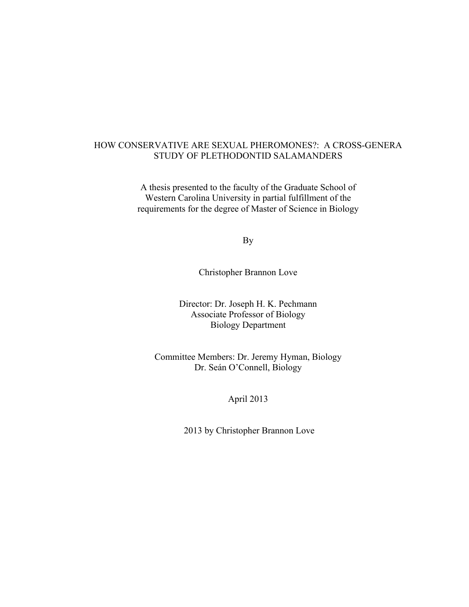### HOW CONSERVATIVE ARE SEXUAL PHEROMONES?: A CROSS-GENERA STUDY OF PLETHODONTID SALAMANDERS

A thesis presented to the faculty of the Graduate School of Western Carolina University in partial fulfillment of the requirements for the degree of Master of Science in Biology

By

Christopher Brannon Love

Director: Dr. Joseph H. K. Pechmann Associate Professor of Biology Biology Department

Committee Members: Dr. Jeremy Hyman, Biology Dr. Seán O'Connell, Biology

April 2013

2013 by Christopher Brannon Love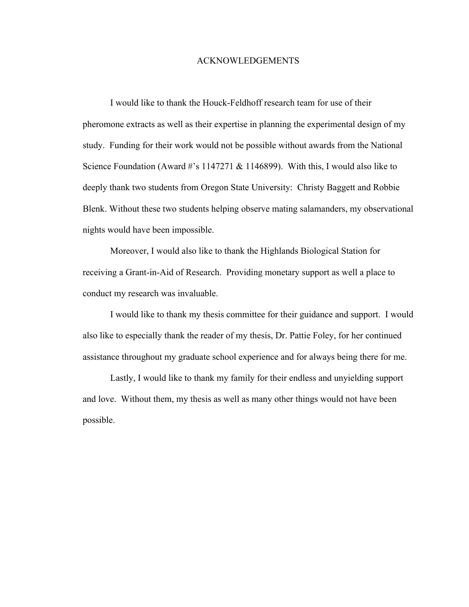#### ACKNOWLEDGEMENTS

I would like to thank the Houck-Feldhoff research team for use of their pheromone extracts as well as their expertise in planning the experimental design of my study. Funding for their work would not be possible without awards from the National Science Foundation (Award #'s 1147271 & 1146899). With this, I would also like to deeply thank two students from Oregon State University: Christy Baggett and Robbie Blenk. Without these two students helping observe mating salamanders, my observational nights would have been impossible.

Moreover, I would also like to thank the Highlands Biological Station for receiving a Grant-in-Aid of Research. Providing monetary support as well a place to conduct my research was invaluable.

I would like to thank my thesis committee for their guidance and support. I would also like to especially thank the reader of my thesis, Dr. Pattie Foley, for her continued assistance throughout my graduate school experience and for always being there for me.

Lastly, I would like to thank my family for their endless and unyielding support and love. Without them, my thesis as well as many other things would not have been possible.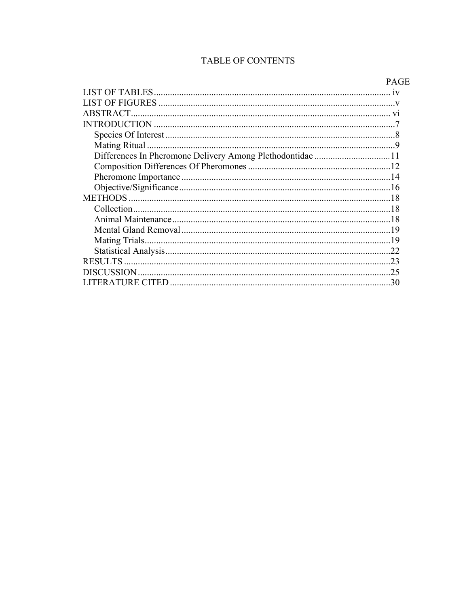# TABLE OF CONTENTS

|                                                           | <b>TAU</b> |
|-----------------------------------------------------------|------------|
|                                                           |            |
|                                                           |            |
| ABSTRACT.                                                 |            |
|                                                           |            |
|                                                           |            |
|                                                           |            |
| Differences In Pheromone Delivery Among Plethodontidae 11 |            |
|                                                           |            |
|                                                           |            |
|                                                           |            |
|                                                           |            |
|                                                           |            |
|                                                           |            |
|                                                           |            |
|                                                           |            |
|                                                           | .22        |
|                                                           |            |
|                                                           | .25        |
|                                                           | 30         |
|                                                           |            |

# PAGE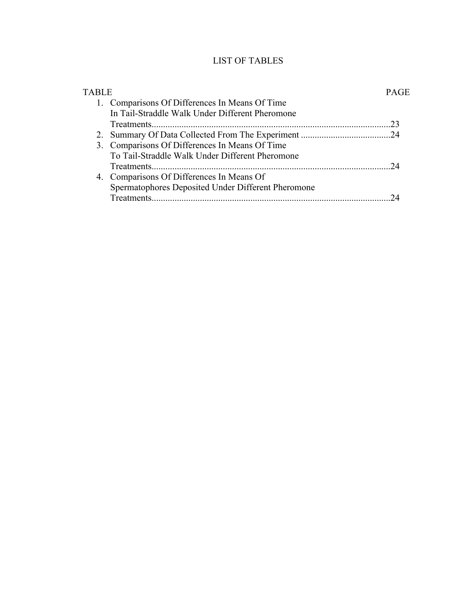# LIST OF TABLES

| TABLE |                                                    | PAGE |
|-------|----------------------------------------------------|------|
|       | 1. Comparisons Of Differences In Means Of Time     |      |
|       | In Tail-Straddle Walk Under Different Pheromone    |      |
|       |                                                    | 23   |
|       |                                                    |      |
|       | 3. Comparisons Of Differences In Means Of Time     |      |
|       | To Tail-Straddle Walk Under Different Pheromone    |      |
|       |                                                    | 24   |
|       | 4. Comparisons Of Differences In Means Of          |      |
|       | Spermatophores Deposited Under Different Pheromone |      |
|       |                                                    |      |
|       |                                                    |      |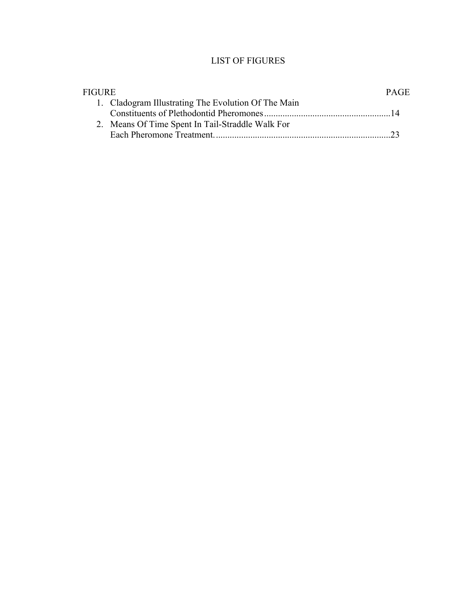## LIST OF FIGURES

| <b>FIGURE</b> |                                                     | PAGE |
|---------------|-----------------------------------------------------|------|
|               | 1. Cladogram Illustrating The Evolution Of The Main |      |
|               |                                                     |      |
|               | 2. Means Of Time Spent In Tail-Straddle Walk For    |      |
|               |                                                     |      |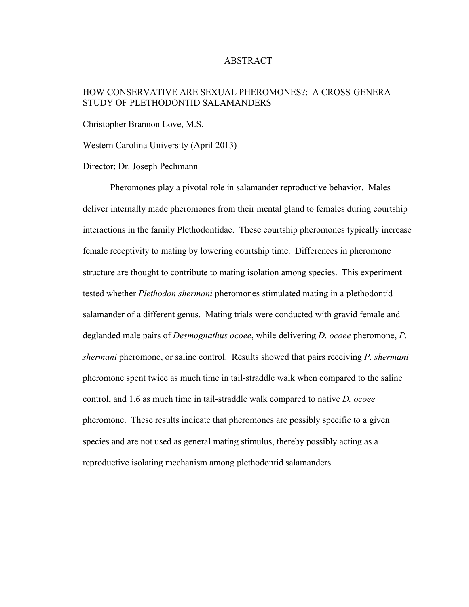#### ABSTRACT

### HOW CONSERVATIVE ARE SEXUAL PHEROMONES?: A CROSS-GENERA STUDY OF PLETHODONTID SALAMANDERS

Christopher Brannon Love, M.S.

Western Carolina University (April 2013)

Director: Dr. Joseph Pechmann

Pheromones play a pivotal role in salamander reproductive behavior. Males deliver internally made pheromones from their mental gland to females during courtship interactions in the family Plethodontidae. These courtship pheromones typically increase female receptivity to mating by lowering courtship time. Differences in pheromone structure are thought to contribute to mating isolation among species. This experiment tested whether *Plethodon shermani* pheromones stimulated mating in a plethodontid salamander of a different genus. Mating trials were conducted with gravid female and deglanded male pairs of *Desmognathus ocoee*, while delivering *D. ocoee* pheromone, *P. shermani* pheromone, or saline control. Results showed that pairs receiving *P. shermani* pheromone spent twice as much time in tail-straddle walk when compared to the saline control, and 1.6 as much time in tail-straddle walk compared to native *D. ocoee* pheromone. These results indicate that pheromones are possibly specific to a given species and are not used as general mating stimulus, thereby possibly acting as a reproductive isolating mechanism among plethodontid salamanders.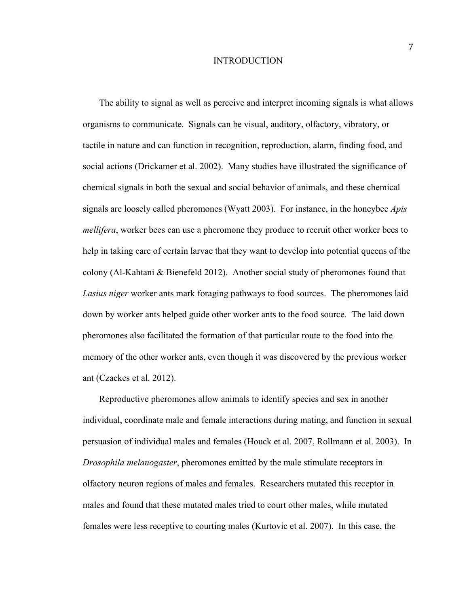#### INTRODUCTION

The ability to signal as well as perceive and interpret incoming signals is what allows organisms to communicate. Signals can be visual, auditory, olfactory, vibratory, or tactile in nature and can function in recognition, reproduction, alarm, finding food, and social actions (Drickamer et al. 2002). Many studies have illustrated the significance of chemical signals in both the sexual and social behavior of animals, and these chemical signals are loosely called pheromones (Wyatt 2003). For instance, in the honeybee *Apis mellifera*, worker bees can use a pheromone they produce to recruit other worker bees to help in taking care of certain larvae that they want to develop into potential queens of the colony (Al-Kahtani & Bienefeld 2012). Another social study of pheromones found that *Lasius niger* worker ants mark foraging pathways to food sources. The pheromones laid down by worker ants helped guide other worker ants to the food source. The laid down pheromones also facilitated the formation of that particular route to the food into the memory of the other worker ants, even though it was discovered by the previous worker ant (Czackes et al. 2012).

Reproductive pheromones allow animals to identify species and sex in another individual, coordinate male and female interactions during mating, and function in sexual persuasion of individual males and females (Houck et al. 2007, Rollmann et al. 2003). In *Drosophila melanogaster*, pheromones emitted by the male stimulate receptors in olfactory neuron regions of males and females. Researchers mutated this receptor in males and found that these mutated males tried to court other males, while mutated females were less receptive to courting males (Kurtovic et al. 2007). In this case, the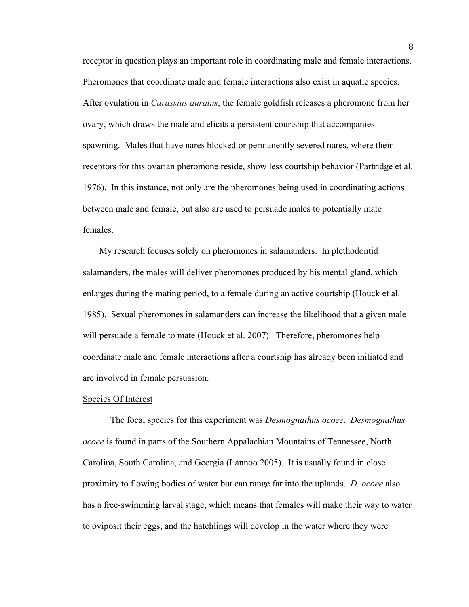receptor in question plays an important role in coordinating male and female interactions. Pheromones that coordinate male and female interactions also exist in aquatic species. After ovulation in *Carassius auratus*, the female goldfish releases a pheromone from her ovary, which draws the male and elicits a persistent courtship that accompanies spawning. Males that have nares blocked or permanently severed nares, where their receptors for this ovarian pheromone reside, show less courtship behavior (Partridge et al. 1976). In this instance, not only are the pheromones being used in coordinating actions between male and female, but also are used to persuade males to potentially mate females.

My research focuses solely on pheromones in salamanders. In plethodontid salamanders, the males will deliver pheromones produced by his mental gland, which enlarges during the mating period, to a female during an active courtship (Houck et al. 1985). Sexual pheromones in salamanders can increase the likelihood that a given male will persuade a female to mate (Houck et al. 2007). Therefore, pheromones help coordinate male and female interactions after a courtship has already been initiated and are involved in female persuasion.

#### Species Of Interest

The focal species for this experiment was *Desmognathus ocoee*. *Desmognathus ocoee* is found in parts of the Southern Appalachian Mountains of Tennessee, North Carolina, South Carolina, and Georgia (Lannoo 2005). It is usually found in close proximity to flowing bodies of water but can range far into the uplands. *D. ocoee* also has a free-swimming larval stage, which means that females will make their way to water to oviposit their eggs, and the hatchlings will develop in the water where they were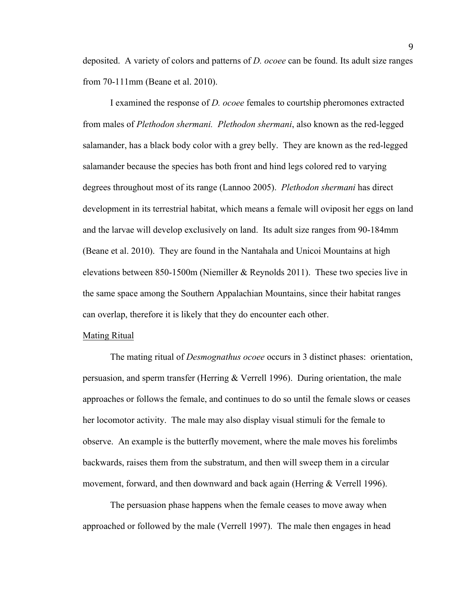deposited. A variety of colors and patterns of *D. ocoee* can be found. Its adult size ranges from 70-111mm (Beane et al. 2010).

I examined the response of *D. ocoee* females to courtship pheromones extracted from males of *Plethodon shermani. Plethodon shermani*, also known as the red-legged salamander, has a black body color with a grey belly. They are known as the red-legged salamander because the species has both front and hind legs colored red to varying degrees throughout most of its range (Lannoo 2005). *Plethodon shermani* has direct development in its terrestrial habitat, which means a female will oviposit her eggs on land and the larvae will develop exclusively on land. Its adult size ranges from 90-184mm (Beane et al. 2010). They are found in the Nantahala and Unicoi Mountains at high elevations between 850-1500m (Niemiller  $&$  Reynolds 2011). These two species live in the same space among the Southern Appalachian Mountains, since their habitat ranges can overlap, therefore it is likely that they do encounter each other.

#### Mating Ritual

The mating ritual of *Desmognathus ocoee* occurs in 3 distinct phases: orientation, persuasion, and sperm transfer (Herring & Verrell 1996). During orientation, the male approaches or follows the female, and continues to do so until the female slows or ceases her locomotor activity. The male may also display visual stimuli for the female to observe. An example is the butterfly movement, where the male moves his forelimbs backwards, raises them from the substratum, and then will sweep them in a circular movement, forward, and then downward and back again (Herring & Verrell 1996).

The persuasion phase happens when the female ceases to move away when approached or followed by the male (Verrell 1997). The male then engages in head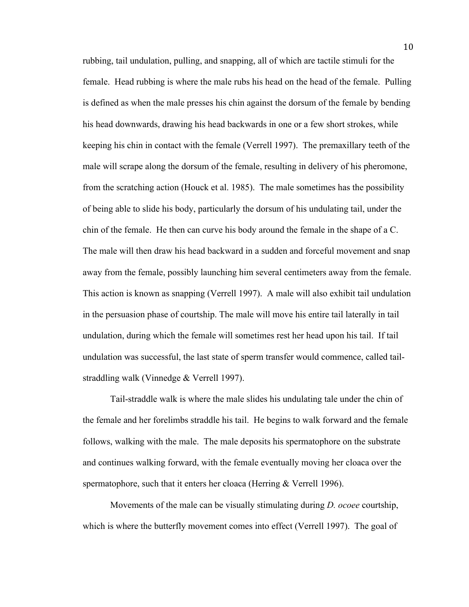rubbing, tail undulation, pulling, and snapping, all of which are tactile stimuli for the female. Head rubbing is where the male rubs his head on the head of the female. Pulling is defined as when the male presses his chin against the dorsum of the female by bending his head downwards, drawing his head backwards in one or a few short strokes, while keeping his chin in contact with the female (Verrell 1997). The premaxillary teeth of the male will scrape along the dorsum of the female, resulting in delivery of his pheromone, from the scratching action (Houck et al. 1985). The male sometimes has the possibility of being able to slide his body, particularly the dorsum of his undulating tail, under the chin of the female. He then can curve his body around the female in the shape of a C. The male will then draw his head backward in a sudden and forceful movement and snap away from the female, possibly launching him several centimeters away from the female. This action is known as snapping (Verrell 1997). A male will also exhibit tail undulation in the persuasion phase of courtship. The male will move his entire tail laterally in tail undulation, during which the female will sometimes rest her head upon his tail. If tail undulation was successful, the last state of sperm transfer would commence, called tailstraddling walk (Vinnedge & Verrell 1997).

Tail-straddle walk is where the male slides his undulating tale under the chin of the female and her forelimbs straddle his tail. He begins to walk forward and the female follows, walking with the male. The male deposits his spermatophore on the substrate and continues walking forward, with the female eventually moving her cloaca over the spermatophore, such that it enters her cloaca (Herring & Verrell 1996).

Movements of the male can be visually stimulating during *D. ocoee* courtship, which is where the butterfly movement comes into effect (Verrell 1997). The goal of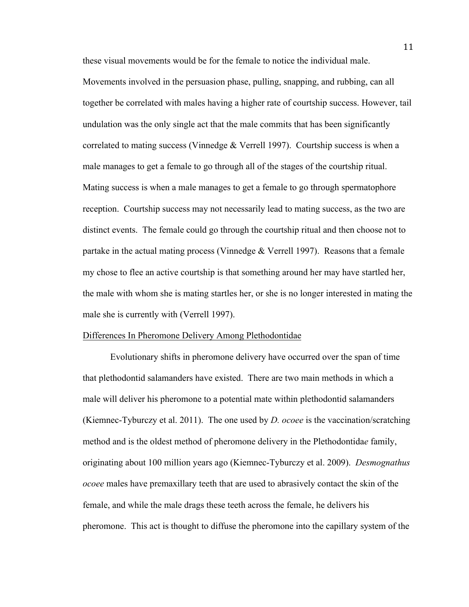these visual movements would be for the female to notice the individual male. Movements involved in the persuasion phase, pulling, snapping, and rubbing, can all together be correlated with males having a higher rate of courtship success. However, tail undulation was the only single act that the male commits that has been significantly correlated to mating success (Vinnedge  $&$  Verrell 1997). Courtship success is when a male manages to get a female to go through all of the stages of the courtship ritual. Mating success is when a male manages to get a female to go through spermatophore reception. Courtship success may not necessarily lead to mating success, as the two are distinct events. The female could go through the courtship ritual and then choose not to partake in the actual mating process (Vinnedge  $&$  Verrell 1997). Reasons that a female my chose to flee an active courtship is that something around her may have startled her, the male with whom she is mating startles her, or she is no longer interested in mating the male she is currently with (Verrell 1997).

#### Differences In Pheromone Delivery Among Plethodontidae

Evolutionary shifts in pheromone delivery have occurred over the span of time that plethodontid salamanders have existed. There are two main methods in which a male will deliver his pheromone to a potential mate within plethodontid salamanders (Kiemnec-Tyburczy et al. 2011). The one used by *D. ocoee* is the vaccination/scratching method and is the oldest method of pheromone delivery in the Plethodontida*e* family, originating about 100 million years ago (Kiemnec-Tyburczy et al. 2009). *Desmognathus ocoee* males have premaxillary teeth that are used to abrasively contact the skin of the female, and while the male drags these teeth across the female, he delivers his pheromone. This act is thought to diffuse the pheromone into the capillary system of the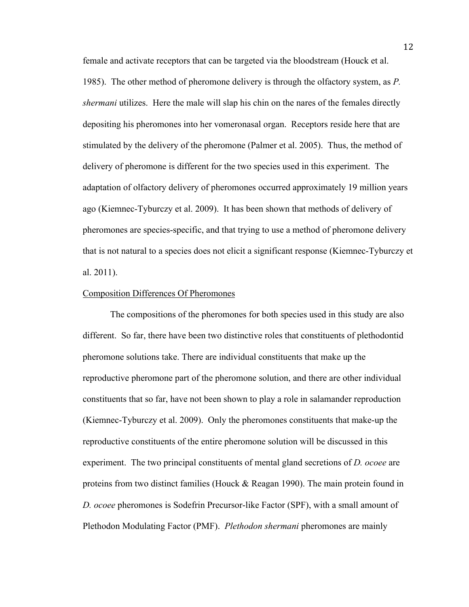female and activate receptors that can be targeted via the bloodstream (Houck et al. 1985). The other method of pheromone delivery is through the olfactory system, as *P. shermani* utilizes. Here the male will slap his chin on the nares of the females directly depositing his pheromones into her vomeronasal organ. Receptors reside here that are stimulated by the delivery of the pheromone (Palmer et al. 2005). Thus, the method of delivery of pheromone is different for the two species used in this experiment. The adaptation of olfactory delivery of pheromones occurred approximately 19 million years ago (Kiemnec-Tyburczy et al. 2009). It has been shown that methods of delivery of pheromones are species-specific, and that trying to use a method of pheromone delivery that is not natural to a species does not elicit a significant response (Kiemnec-Tyburczy et al. 2011).

#### Composition Differences Of Pheromones

The compositions of the pheromones for both species used in this study are also different. So far, there have been two distinctive roles that constituents of plethodontid pheromone solutions take. There are individual constituents that make up the reproductive pheromone part of the pheromone solution, and there are other individual constituents that so far, have not been shown to play a role in salamander reproduction (Kiemnec-Tyburczy et al. 2009). Only the pheromones constituents that make-up the reproductive constituents of the entire pheromone solution will be discussed in this experiment. The two principal constituents of mental gland secretions of *D. ocoee* are proteins from two distinct families (Houck & Reagan 1990). The main protein found in *D. ocoee* pheromones is Sodefrin Precursor-like Factor (SPF), with a small amount of Plethodon Modulating Factor (PMF). *Plethodon shermani* pheromones are mainly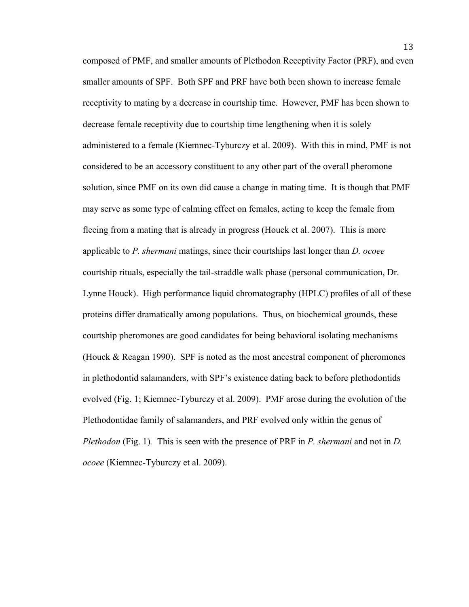composed of PMF, and smaller amounts of Plethodon Receptivity Factor (PRF), and even smaller amounts of SPF. Both SPF and PRF have both been shown to increase female receptivity to mating by a decrease in courtship time. However, PMF has been shown to decrease female receptivity due to courtship time lengthening when it is solely administered to a female (Kiemnec-Tyburczy et al. 2009). With this in mind, PMF is not considered to be an accessory constituent to any other part of the overall pheromone solution, since PMF on its own did cause a change in mating time. It is though that PMF may serve as some type of calming effect on females, acting to keep the female from fleeing from a mating that is already in progress (Houck et al. 2007). This is more applicable to *P. shermani* matings, since their courtships last longer than *D. ocoee* courtship rituals, especially the tail-straddle walk phase (personal communication, Dr. Lynne Houck). High performance liquid chromatography (HPLC) profiles of all of these proteins differ dramatically among populations. Thus, on biochemical grounds, these courtship pheromones are good candidates for being behavioral isolating mechanisms (Houck & Reagan 1990). SPF is noted as the most ancestral component of pheromones in plethodontid salamanders, with SPF's existence dating back to before plethodontids evolved (Fig. 1; Kiemnec-Tyburczy et al. 2009). PMF arose during the evolution of the Plethodontidae family of salamanders, and PRF evolved only within the genus of *Plethodon* (Fig. 1)*.* This is seen with the presence of PRF in *P. shermani* and not in *D. ocoee* (Kiemnec-Tyburczy et al. 2009).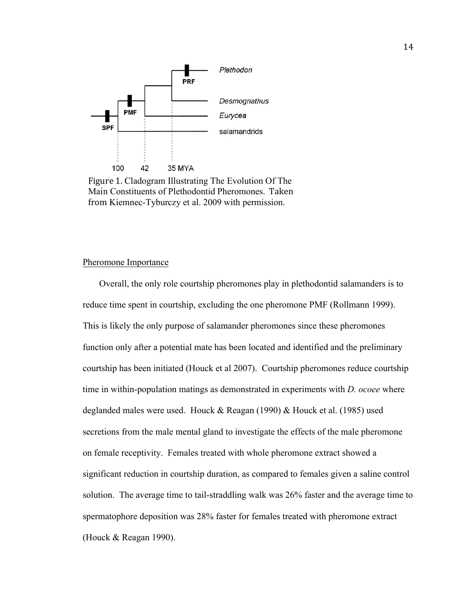

Figure 1. Cladogram Illustrating The Evolution Of The Main Constituents of Plethodontid Pheromones. Taken from Kiemnec-Tyburczy et al. 2009 with permission.

#### Pheromone Importance

Overall, the only role courtship pheromones play in plethodontid salamanders is to reduce time spent in courtship, excluding the one pheromone PMF (Rollmann 1999). This is likely the only purpose of salamander pheromones since these pheromones function only after a potential mate has been located and identified and the preliminary courtship has been initiated (Houck et al 2007). Courtship pheromones reduce courtship time in within-population matings as demonstrated in experiments with *D. ocoee* where deglanded males were used. Houck & Reagan (1990) & Houck et al. (1985) used secretions from the male mental gland to investigate the effects of the male pheromone on female receptivity. Females treated with whole pheromone extract showed a significant reduction in courtship duration, as compared to females given a saline control solution. The average time to tail-straddling walk was 26% faster and the average time to spermatophore deposition was 28% faster for females treated with pheromone extract (Houck & Reagan 1990).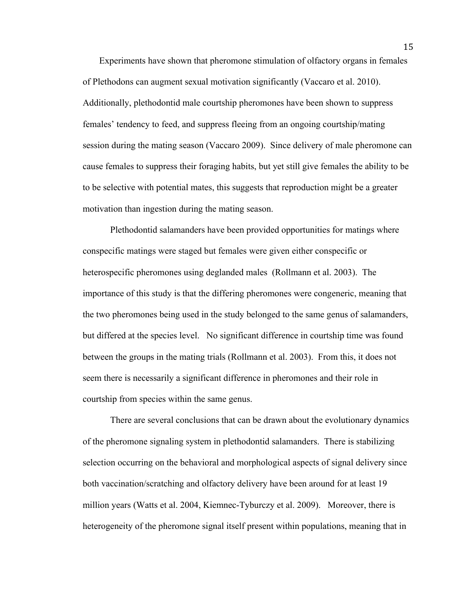Experiments have shown that pheromone stimulation of olfactory organs in females of Plethodons can augment sexual motivation significantly (Vaccaro et al. 2010). Additionally, plethodontid male courtship pheromones have been shown to suppress females' tendency to feed, and suppress fleeing from an ongoing courtship/mating session during the mating season (Vaccaro 2009). Since delivery of male pheromone can cause females to suppress their foraging habits, but yet still give females the ability to be to be selective with potential mates, this suggests that reproduction might be a greater motivation than ingestion during the mating season.

Plethodontid salamanders have been provided opportunities for matings where conspecific matings were staged but females were given either conspecific or heterospecific pheromones using deglanded males (Rollmann et al. 2003). The importance of this study is that the differing pheromones were congeneric, meaning that the two pheromones being used in the study belonged to the same genus of salamanders, but differed at the species level. No significant difference in courtship time was found between the groups in the mating trials (Rollmann et al. 2003). From this, it does not seem there is necessarily a significant difference in pheromones and their role in courtship from species within the same genus.

There are several conclusions that can be drawn about the evolutionary dynamics of the pheromone signaling system in plethodontid salamanders. There is stabilizing selection occurring on the behavioral and morphological aspects of signal delivery since both vaccination/scratching and olfactory delivery have been around for at least 19 million years (Watts et al. 2004, Kiemnec-Tyburczy et al. 2009). Moreover, there is heterogeneity of the pheromone signal itself present within populations, meaning that in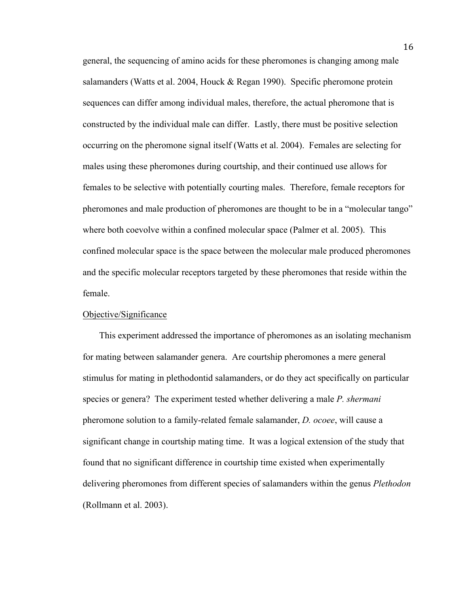general, the sequencing of amino acids for these pheromones is changing among male salamanders (Watts et al. 2004, Houck & Regan 1990). Specific pheromone protein sequences can differ among individual males, therefore, the actual pheromone that is constructed by the individual male can differ. Lastly, there must be positive selection occurring on the pheromone signal itself (Watts et al. 2004). Females are selecting for males using these pheromones during courtship, and their continued use allows for females to be selective with potentially courting males. Therefore, female receptors for pheromones and male production of pheromones are thought to be in a "molecular tango" where both coevolve within a confined molecular space (Palmer et al. 2005). This confined molecular space is the space between the molecular male produced pheromones and the specific molecular receptors targeted by these pheromones that reside within the female.

#### Objective/Significance

This experiment addressed the importance of pheromones as an isolating mechanism for mating between salamander genera. Are courtship pheromones a mere general stimulus for mating in plethodontid salamanders, or do they act specifically on particular species or genera? The experiment tested whether delivering a male *P. shermani* pheromone solution to a family-related female salamander, *D. ocoee*, will cause a significant change in courtship mating time. It was a logical extension of the study that found that no significant difference in courtship time existed when experimentally delivering pheromones from different species of salamanders within the genus *Plethodon*  (Rollmann et al. 2003).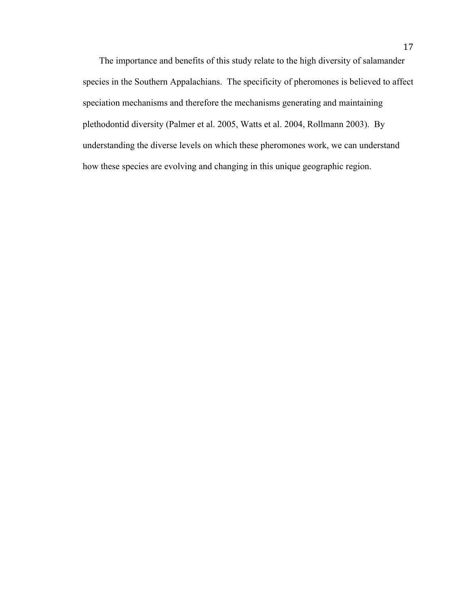The importance and benefits of this study relate to the high diversity of salamander species in the Southern Appalachians. The specificity of pheromones is believed to affect speciation mechanisms and therefore the mechanisms generating and maintaining plethodontid diversity (Palmer et al. 2005, Watts et al. 2004, Rollmann 2003). By understanding the diverse levels on which these pheromones work, we can understand how these species are evolving and changing in this unique geographic region.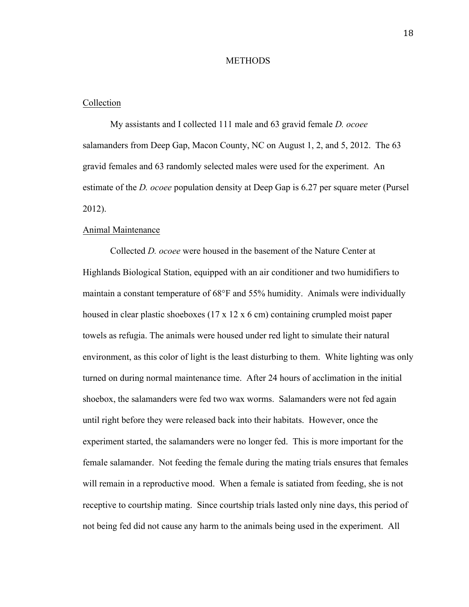#### **METHODS**

#### Collection

My assistants and I collected 111 male and 63 gravid female *D. ocoee* salamanders from Deep Gap, Macon County, NC on August 1, 2, and 5, 2012. The 63 gravid females and 63 randomly selected males were used for the experiment. An estimate of the *D. ocoee* population density at Deep Gap is 6.27 per square meter (Pursel 2012).

#### Animal Maintenance

Collected *D. ocoee* were housed in the basement of the Nature Center at Highlands Biological Station, equipped with an air conditioner and two humidifiers to maintain a constant temperature of 68°F and 55% humidity. Animals were individually housed in clear plastic shoeboxes (17 x 12 x 6 cm) containing crumpled moist paper towels as refugia. The animals were housed under red light to simulate their natural environment, as this color of light is the least disturbing to them. White lighting was only turned on during normal maintenance time. After 24 hours of acclimation in the initial shoebox, the salamanders were fed two wax worms. Salamanders were not fed again until right before they were released back into their habitats. However, once the experiment started, the salamanders were no longer fed. This is more important for the female salamander. Not feeding the female during the mating trials ensures that females will remain in a reproductive mood. When a female is satiated from feeding, she is not receptive to courtship mating. Since courtship trials lasted only nine days, this period of not being fed did not cause any harm to the animals being used in the experiment. All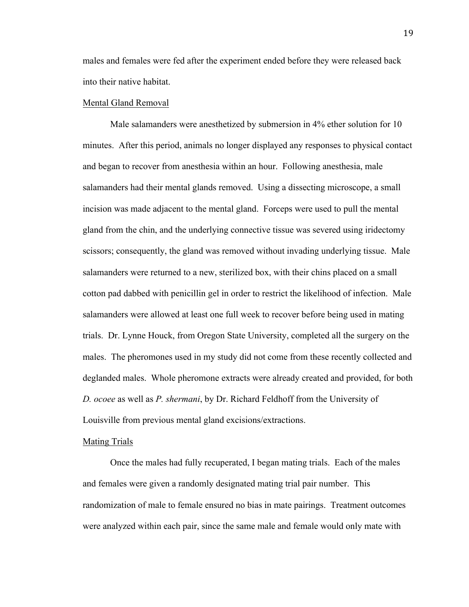males and females were fed after the experiment ended before they were released back into their native habitat.

#### Mental Gland Removal

Male salamanders were anesthetized by submersion in 4% ether solution for 10 minutes. After this period, animals no longer displayed any responses to physical contact and began to recover from anesthesia within an hour. Following anesthesia, male salamanders had their mental glands removed. Using a dissecting microscope, a small incision was made adjacent to the mental gland. Forceps were used to pull the mental gland from the chin, and the underlying connective tissue was severed using iridectomy scissors; consequently, the gland was removed without invading underlying tissue. Male salamanders were returned to a new, sterilized box, with their chins placed on a small cotton pad dabbed with penicillin gel in order to restrict the likelihood of infection. Male salamanders were allowed at least one full week to recover before being used in mating trials. Dr. Lynne Houck, from Oregon State University, completed all the surgery on the males. The pheromones used in my study did not come from these recently collected and deglanded males. Whole pheromone extracts were already created and provided, for both *D. ocoee* as well as *P. shermani*, by Dr. Richard Feldhoff from the University of Louisville from previous mental gland excisions/extractions.

#### Mating Trials

Once the males had fully recuperated, I began mating trials. Each of the males and females were given a randomly designated mating trial pair number. This randomization of male to female ensured no bias in mate pairings. Treatment outcomes were analyzed within each pair, since the same male and female would only mate with

19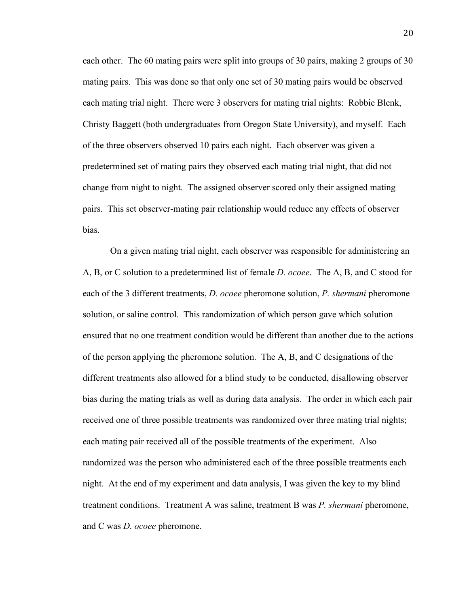each other. The 60 mating pairs were split into groups of 30 pairs, making 2 groups of 30 mating pairs. This was done so that only one set of 30 mating pairs would be observed each mating trial night. There were 3 observers for mating trial nights: Robbie Blenk, Christy Baggett (both undergraduates from Oregon State University), and myself. Each of the three observers observed 10 pairs each night. Each observer was given a predetermined set of mating pairs they observed each mating trial night, that did not change from night to night. The assigned observer scored only their assigned mating pairs. This set observer-mating pair relationship would reduce any effects of observer bias.

On a given mating trial night, each observer was responsible for administering an A, B, or C solution to a predetermined list of female *D. ocoee*. The A, B, and C stood for each of the 3 different treatments, *D. ocoee* pheromone solution, *P. shermani* pheromone solution, or saline control. This randomization of which person gave which solution ensured that no one treatment condition would be different than another due to the actions of the person applying the pheromone solution. The A, B, and C designations of the different treatments also allowed for a blind study to be conducted, disallowing observer bias during the mating trials as well as during data analysis. The order in which each pair received one of three possible treatments was randomized over three mating trial nights; each mating pair received all of the possible treatments of the experiment. Also randomized was the person who administered each of the three possible treatments each night. At the end of my experiment and data analysis, I was given the key to my blind treatment conditions. Treatment A was saline, treatment B was *P. shermani* pheromone, and C was *D. ocoee* pheromone.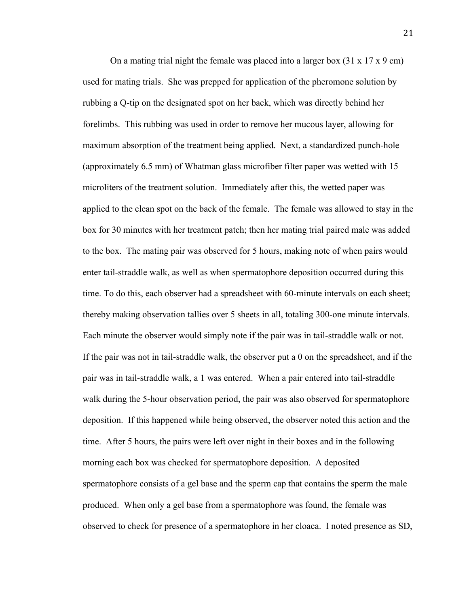On a mating trial night the female was placed into a larger box  $(31 \times 17 \times 9 \text{ cm})$ used for mating trials. She was prepped for application of the pheromone solution by rubbing a Q-tip on the designated spot on her back, which was directly behind her forelimbs. This rubbing was used in order to remove her mucous layer, allowing for maximum absorption of the treatment being applied. Next, a standardized punch-hole (approximately 6.5 mm) of Whatman glass microfiber filter paper was wetted with 15 microliters of the treatment solution. Immediately after this, the wetted paper was applied to the clean spot on the back of the female. The female was allowed to stay in the box for 30 minutes with her treatment patch; then her mating trial paired male was added to the box. The mating pair was observed for 5 hours, making note of when pairs would enter tail-straddle walk, as well as when spermatophore deposition occurred during this time. To do this, each observer had a spreadsheet with 60-minute intervals on each sheet; thereby making observation tallies over 5 sheets in all, totaling 300-one minute intervals. Each minute the observer would simply note if the pair was in tail-straddle walk or not. If the pair was not in tail-straddle walk, the observer put a 0 on the spreadsheet, and if the pair was in tail-straddle walk, a 1 was entered. When a pair entered into tail-straddle walk during the 5-hour observation period, the pair was also observed for spermatophore deposition. If this happened while being observed, the observer noted this action and the time. After 5 hours, the pairs were left over night in their boxes and in the following morning each box was checked for spermatophore deposition. A deposited spermatophore consists of a gel base and the sperm cap that contains the sperm the male produced. When only a gel base from a spermatophore was found, the female was observed to check for presence of a spermatophore in her cloaca. I noted presence as SD,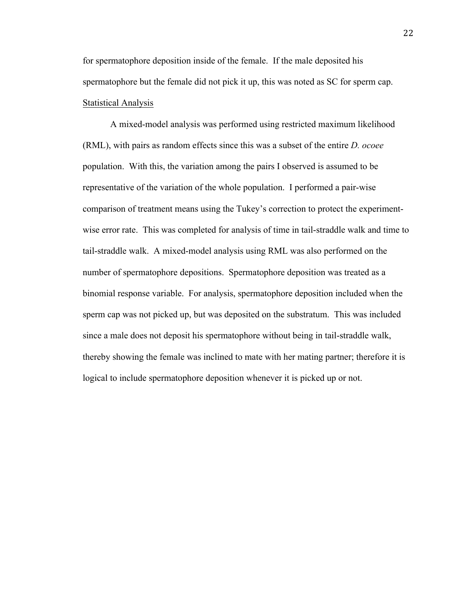for spermatophore deposition inside of the female. If the male deposited his spermatophore but the female did not pick it up, this was noted as SC for sperm cap. Statistical Analysis

A mixed-model analysis was performed using restricted maximum likelihood (RML), with pairs as random effects since this was a subset of the entire *D. ocoee* population. With this, the variation among the pairs I observed is assumed to be representative of the variation of the whole population. I performed a pair-wise comparison of treatment means using the Tukey's correction to protect the experimentwise error rate. This was completed for analysis of time in tail-straddle walk and time to tail-straddle walk. A mixed-model analysis using RML was also performed on the number of spermatophore depositions. Spermatophore deposition was treated as a binomial response variable. For analysis, spermatophore deposition included when the sperm cap was not picked up, but was deposited on the substratum. This was included since a male does not deposit his spermatophore without being in tail-straddle walk, thereby showing the female was inclined to mate with her mating partner; therefore it is logical to include spermatophore deposition whenever it is picked up or not.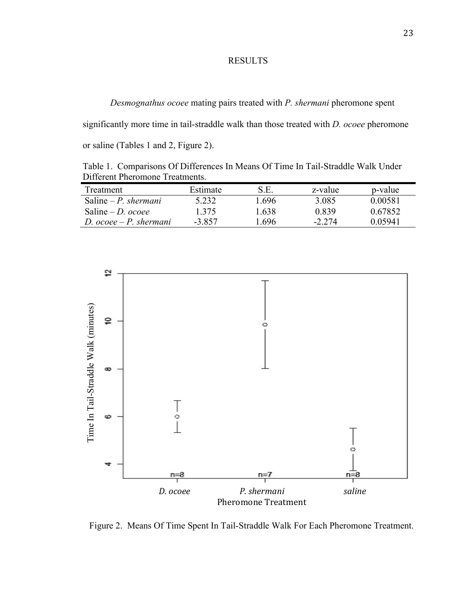### RESULTS

*Desmognathus ocoee* mating pairs treated with *P. shermani* pheromone spent

significantly more time in tail-straddle walk than those treated with *D. ocoee* pheromone

or saline (Tables 1 and 2, Figure 2).

Table 1. Comparisons Of Differences In Means Of Time In Tail-Straddle Walk Under Different Pheromone Treatments.

| Treatment                      | Estimate | S.E.  | z-value  | p-value |
|--------------------------------|----------|-------|----------|---------|
| Saline – P. shermani           | 5 2 3 2  | 1 696 | 3.085    | 0.00581 |
| Saline $-D$ , ocoee            | 1 375    | 1 638 | 0.839    | 0.67852 |
| D. $\alpha$ coee – P. shermani | -3.857   | 1 696 | $-2.274$ | 0.05941 |



Figure 2. Means Of Time Spent In Tail-Straddle Walk For Each Pheromone Treatment.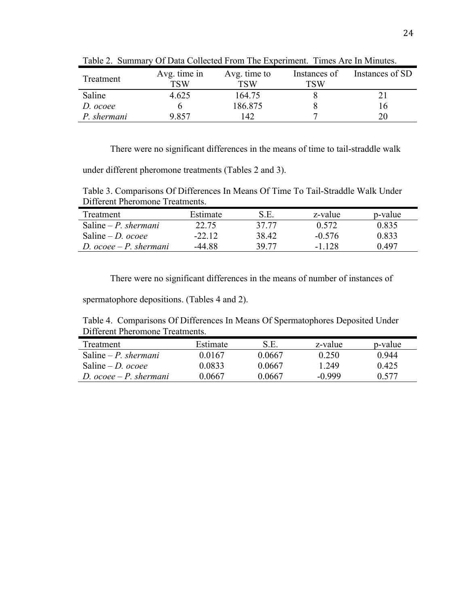| Treatment   | Avg. time in<br>TSW | Avg. time to<br>TSW | Instances of<br>TSW | Instances of SD |
|-------------|---------------------|---------------------|---------------------|-----------------|
| Saline      | 4.625               | 164.75              |                     |                 |
| D. ocoee    |                     | 186.875             |                     | . ხ             |
| P. shermani | 9.857               | -42                 |                     |                 |

Table 2. Summary Of Data Collected From The Experiment. Times Are In Minutes.

There were no significant differences in the means of time to tail-straddle walk

under different pheromone treatments (Tables 2 and 3).

Table 3. Comparisons Of Differences In Means Of Time To Tail-Straddle Walk Under Different Pheromone Treatments.

| Treatment                      | Estimate | S.E.  | z-value  | p-value |
|--------------------------------|----------|-------|----------|---------|
| Saline – P. shermani           | 22.75    | 37.77 | 0.572    | 0.835   |
| Saline – <i>D. ocoee</i>       | $-2212$  | 38.42 | $-0.576$ | 0.833   |
| D. $\alpha$ coee – P. shermani | -44 88   | 39.77 | -1 128   | 0.497   |

There were no significant differences in the means of number of instances of

spermatophore depositions. (Tables 4 and 2).

Table 4. Comparisons Of Differences In Means Of Spermatophores Deposited Under Different Pheromone Treatments.

| <b>Treatment</b>               | Estimate | S.E.   | z-value | p-value |
|--------------------------------|----------|--------|---------|---------|
| Saline – P. shermani           | 0 0167   | 0.0667 | 0.250   | 0.944   |
| Saline – <i>D. ocoee</i>       | 9 0833   | 0.0667 | l 249   | 0.425   |
| D. $\alpha$ coee – P. shermani | 0 0667   | 0.0667 | -0.999  | 0.577   |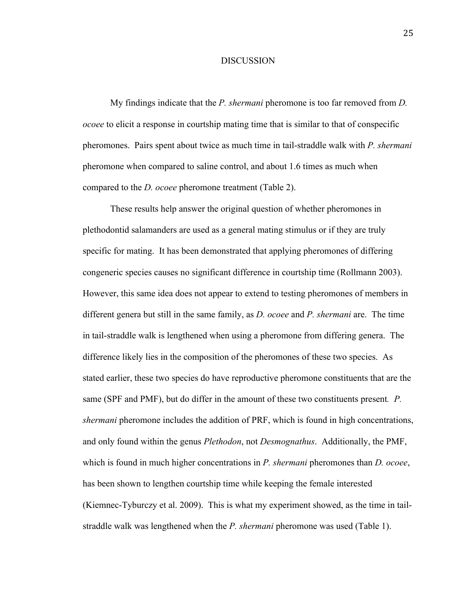#### DISCUSSION

My findings indicate that the *P. shermani* pheromone is too far removed from *D. ocoee* to elicit a response in courtship mating time that is similar to that of conspecific pheromones. Pairs spent about twice as much time in tail-straddle walk with *P. shermani* pheromone when compared to saline control, and about 1.6 times as much when compared to the *D. ocoee* pheromone treatment (Table 2).

These results help answer the original question of whether pheromones in plethodontid salamanders are used as a general mating stimulus or if they are truly specific for mating. It has been demonstrated that applying pheromones of differing congeneric species causes no significant difference in courtship time (Rollmann 2003). However, this same idea does not appear to extend to testing pheromones of members in different genera but still in the same family, as *D. ocoee* and *P. shermani* are. The time in tail-straddle walk is lengthened when using a pheromone from differing genera. The difference likely lies in the composition of the pheromones of these two species. As stated earlier, these two species do have reproductive pheromone constituents that are the same (SPF and PMF), but do differ in the amount of these two constituents present*. P. shermani* pheromone includes the addition of PRF, which is found in high concentrations, and only found within the genus *Plethodon*, not *Desmognathus*. Additionally, the PMF, which is found in much higher concentrations in *P. shermani* pheromones than *D. ocoee*, has been shown to lengthen courtship time while keeping the female interested (Kiemnec-Tyburczy et al. 2009). This is what my experiment showed, as the time in tailstraddle walk was lengthened when the *P. shermani* pheromone was used (Table 1).

25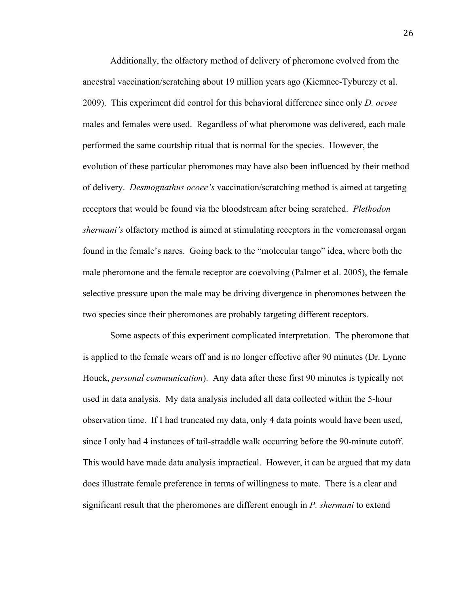Additionally, the olfactory method of delivery of pheromone evolved from the ancestral vaccination/scratching about 19 million years ago (Kiemnec-Tyburczy et al. 2009). This experiment did control for this behavioral difference since only *D. ocoee* males and females were used. Regardless of what pheromone was delivered, each male performed the same courtship ritual that is normal for the species. However, the evolution of these particular pheromones may have also been influenced by their method of delivery. *Desmognathus ocoee's* vaccination/scratching method is aimed at targeting receptors that would be found via the bloodstream after being scratched. *Plethodon shermani's* olfactory method is aimed at stimulating receptors in the vomeronasal organ found in the female's nares. Going back to the "molecular tango" idea, where both the male pheromone and the female receptor are coevolving (Palmer et al. 2005), the female selective pressure upon the male may be driving divergence in pheromones between the two species since their pheromones are probably targeting different receptors.

Some aspects of this experiment complicated interpretation. The pheromone that is applied to the female wears off and is no longer effective after 90 minutes (Dr. Lynne Houck, *personal communication*). Any data after these first 90 minutes is typically not used in data analysis. My data analysis included all data collected within the 5-hour observation time. If I had truncated my data, only 4 data points would have been used, since I only had 4 instances of tail-straddle walk occurring before the 90-minute cutoff. This would have made data analysis impractical. However, it can be argued that my data does illustrate female preference in terms of willingness to mate. There is a clear and significant result that the pheromones are different enough in *P. shermani* to extend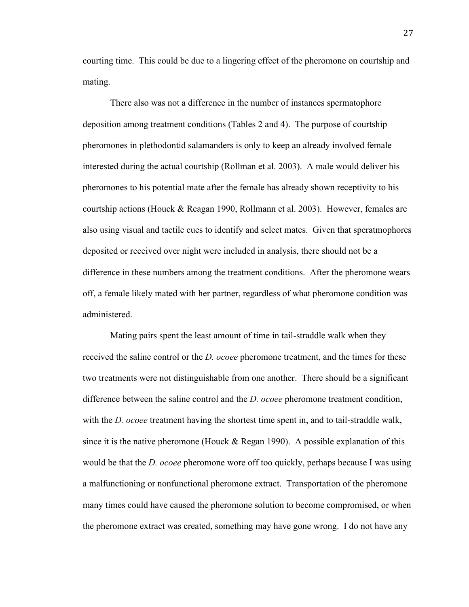courting time. This could be due to a lingering effect of the pheromone on courtship and mating.

There also was not a difference in the number of instances spermatophore deposition among treatment conditions (Tables 2 and 4). The purpose of courtship pheromones in plethodontid salamanders is only to keep an already involved female interested during the actual courtship (Rollman et al. 2003). A male would deliver his pheromones to his potential mate after the female has already shown receptivity to his courtship actions (Houck & Reagan 1990, Rollmann et al. 2003). However, females are also using visual and tactile cues to identify and select mates. Given that speratmophores deposited or received over night were included in analysis, there should not be a difference in these numbers among the treatment conditions. After the pheromone wears off, a female likely mated with her partner, regardless of what pheromone condition was administered.

Mating pairs spent the least amount of time in tail-straddle walk when they received the saline control or the *D. ocoee* pheromone treatment, and the times for these two treatments were not distinguishable from one another. There should be a significant difference between the saline control and the *D. ocoee* pheromone treatment condition, with the *D. ocoee* treatment having the shortest time spent in, and to tail-straddle walk, since it is the native pheromone (Houck  $\&$  Regan 1990). A possible explanation of this would be that the *D. ocoee* pheromone wore off too quickly, perhaps because I was using a malfunctioning or nonfunctional pheromone extract. Transportation of the pheromone many times could have caused the pheromone solution to become compromised, or when the pheromone extract was created, something may have gone wrong. I do not have any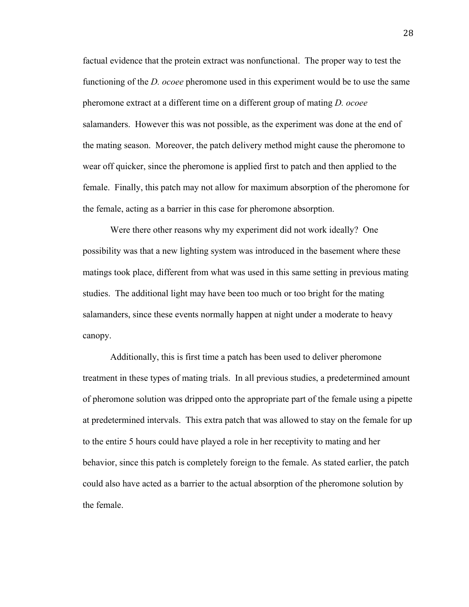factual evidence that the protein extract was nonfunctional. The proper way to test the functioning of the *D. ocoee* pheromone used in this experiment would be to use the same pheromone extract at a different time on a different group of mating *D. ocoee* salamanders. However this was not possible, as the experiment was done at the end of the mating season. Moreover, the patch delivery method might cause the pheromone to wear off quicker, since the pheromone is applied first to patch and then applied to the female. Finally, this patch may not allow for maximum absorption of the pheromone for the female, acting as a barrier in this case for pheromone absorption.

Were there other reasons why my experiment did not work ideally? One possibility was that a new lighting system was introduced in the basement where these matings took place, different from what was used in this same setting in previous mating studies. The additional light may have been too much or too bright for the mating salamanders, since these events normally happen at night under a moderate to heavy canopy.

Additionally, this is first time a patch has been used to deliver pheromone treatment in these types of mating trials. In all previous studies, a predetermined amount of pheromone solution was dripped onto the appropriate part of the female using a pipette at predetermined intervals. This extra patch that was allowed to stay on the female for up to the entire 5 hours could have played a role in her receptivity to mating and her behavior, since this patch is completely foreign to the female. As stated earlier, the patch could also have acted as a barrier to the actual absorption of the pheromone solution by the female.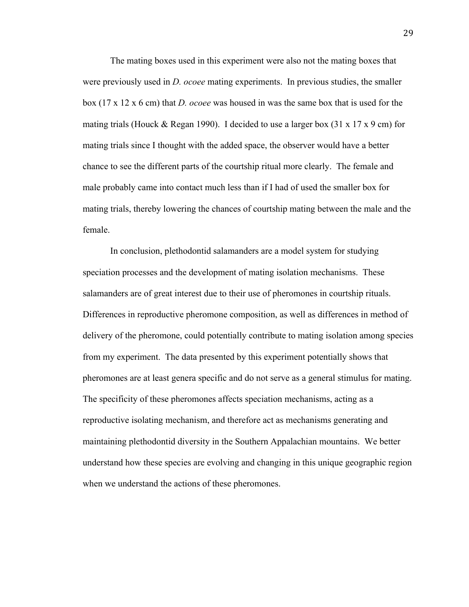The mating boxes used in this experiment were also not the mating boxes that were previously used in *D. ocoee* mating experiments. In previous studies, the smaller box (17 x 12 x 6 cm) that *D. ocoee* was housed in was the same box that is used for the mating trials (Houck & Regan 1990). I decided to use a larger box  $(31 \times 17 \times 9 \text{ cm})$  for mating trials since I thought with the added space, the observer would have a better chance to see the different parts of the courtship ritual more clearly. The female and male probably came into contact much less than if I had of used the smaller box for mating trials, thereby lowering the chances of courtship mating between the male and the female.

In conclusion, plethodontid salamanders are a model system for studying speciation processes and the development of mating isolation mechanisms. These salamanders are of great interest due to their use of pheromones in courtship rituals. Differences in reproductive pheromone composition, as well as differences in method of delivery of the pheromone, could potentially contribute to mating isolation among species from my experiment. The data presented by this experiment potentially shows that pheromones are at least genera specific and do not serve as a general stimulus for mating. The specificity of these pheromones affects speciation mechanisms, acting as a reproductive isolating mechanism, and therefore act as mechanisms generating and maintaining plethodontid diversity in the Southern Appalachian mountains. We better understand how these species are evolving and changing in this unique geographic region when we understand the actions of these pheromones.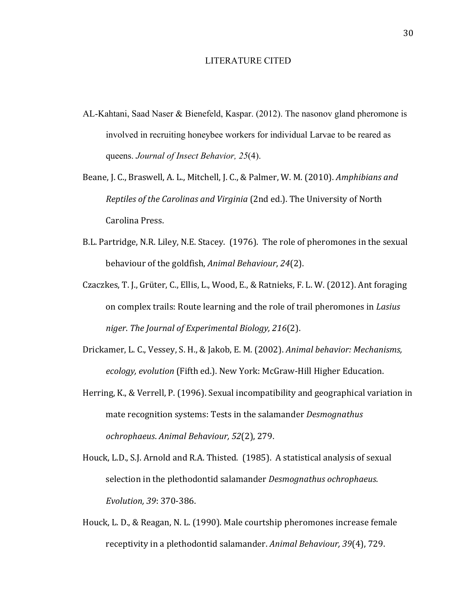#### LITERATURE CITED

- AL-Kahtani, Saad Naser & Bienefeld, Kaspar. (2012). The nasonov gland pheromone is involved in recruiting honeybee workers for individual Larvae to be reared as queens. *Journal of Insect Behavior, 25*(4).
- Beane, J. C., Braswell, A. L., Mitchell, J. C., & Palmer, W. M. (2010). Amphibians and *Reptiles of the Carolinas and Virginia* (2nd ed.). The University of North Carolina Press.
- B.L. Partridge, N.R. Liley, N.E. Stacey. (1976). The role of pheromones in the sexual behaviour of the goldfish, *Animal Behaviour*, 24(2).
- Czaczkes, T. J., Grüter, C., Ellis, L., Wood, E., & Ratnieks, F. L. W. (2012). Ant foraging on complex trails: Route learning and the role of trail pheromones in *Lasius niger*. *The Journal of Experimental Biology, 216*(2).
- Drickamer, L. C., Vessey, S. H., & Jakob, E. M. (2002). *Animal behavior: Mechanisms,* ecology, evolution (Fifth ed.). New York: McGraw-Hill Higher Education.
- Herring, K., & Verrell, P. (1996). Sexual incompatibility and geographical variation in mate recognition systems: Tests in the salamander *Desmognathus ochrophaeus*. *Animal Behaviour, 52*(2), 279.
- Houck, L.D., S.J. Arnold and R.A. Thisted. (1985). A statistical analysis of sexual selection in the plethodontid salamander *Desmognathus ochrophaeus*. *Evolution, 39*: 370-386.
- Houck, L. D., & Reagan, N. L. (1990). Male courtship pheromones increase female receptivity in a plethodontid salamander. *Animal Behaviour*, 39(4), 729.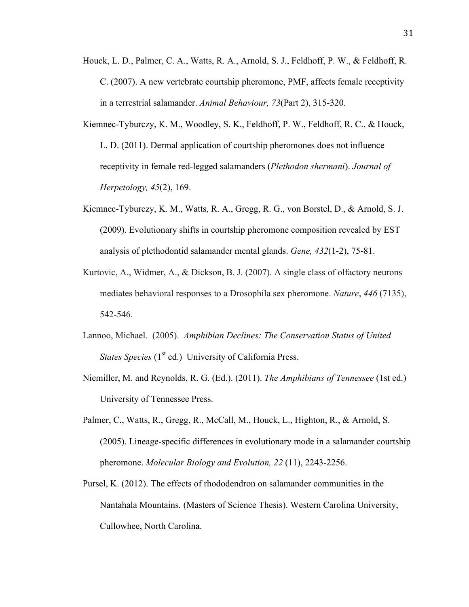- Houck, L. D., Palmer, C. A., Watts, R. A., Arnold, S. J., Feldhoff, P. W., & Feldhoff, R. C. (2007). A new vertebrate courtship pheromone, PMF, affects female receptivity in a terrestrial salamander. *Animal Behaviour, 73*(Part 2), 315-320.
- Kiemnec-Tyburczy, K. M., Woodley, S. K., Feldhoff, P. W., Feldhoff, R. C., & Houck, L. D. (2011). Dermal application of courtship pheromones does not influence receptivity in female red-legged salamanders (*Plethodon shermani*). *Journal of Herpetology, 45*(2), 169.
- Kiemnec-Tyburczy, K. M., Watts, R. A., Gregg, R. G., von Borstel, D., & Arnold, S. J. (2009). Evolutionary shifts in courtship pheromone composition revealed by EST analysis of plethodontid salamander mental glands. *Gene, 432*(1-2), 75-81.
- Kurtovic, A., Widmer, A., & Dickson, B. J. (2007). A single class of olfactory neurons mediates behavioral responses to a Drosophila sex pheromone. *Nature*, *446* (7135), 542-546.
- Lannoo, Michael. (2005). *Amphibian Declines: The Conservation Status of United States Species* (1<sup>st</sup> ed.) University of California Press.
- Niemiller, M. and Reynolds, R. G. (Ed.). (2011). *The Amphibians of Tennessee* (1st ed.) University of Tennessee Press.
- Palmer, C., Watts, R., Gregg, R., McCall, M., Houck, L., Highton, R., & Arnold, S. (2005). Lineage-specific differences in evolutionary mode in a salamander courtship pheromone. *Molecular Biology and Evolution, 22* (11), 2243-2256.
- Pursel, K. (2012). The effects of rhododendron on salamander communities in the Nantahala Mountains*.* (Masters of Science Thesis). Western Carolina University, Cullowhee, North Carolina.